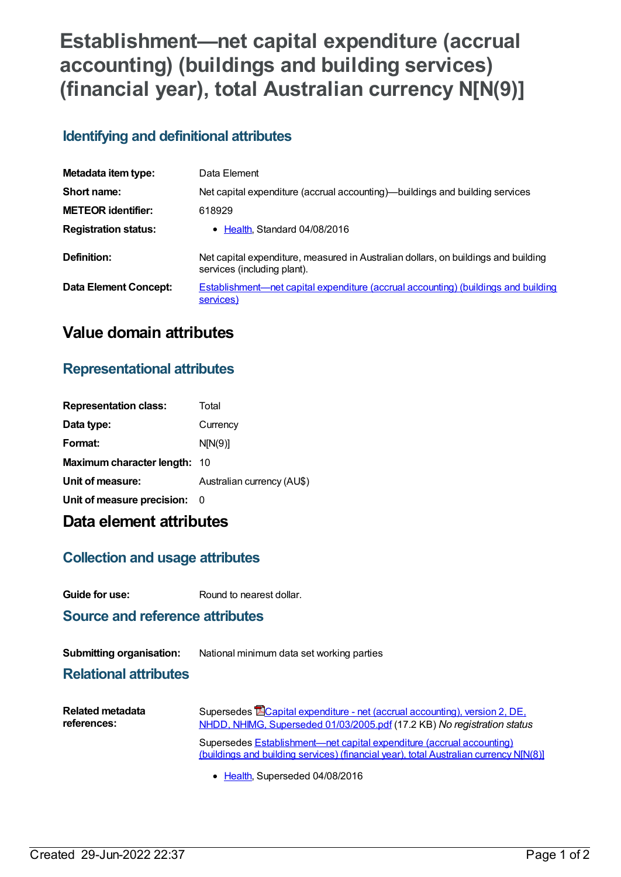# **Establishment—net capital expenditure (accrual accounting) (buildings and building services) (financial year), total Australian currency N[N(9)]**

### **Identifying and definitional attributes**

| Metadata item type:         | Data Element                                                                                                      |  |
|-----------------------------|-------------------------------------------------------------------------------------------------------------------|--|
| Short name:                 | Net capital expenditure (accrual accounting)—buildings and building services                                      |  |
| <b>METEOR identifier:</b>   | 618929                                                                                                            |  |
| <b>Registration status:</b> | • Health Standard 04/08/2016                                                                                      |  |
| Definition:                 | Net capital expenditure, measured in Australian dollars, on buildings and building<br>services (including plant). |  |
| Data Element Concept:       | <b>Establishment—net capital expenditure (accrual accounting) (buildings and building</b><br>services)            |  |

## **Value domain attributes**

### **Representational attributes**

| <b>Representation class:</b> | Total                      |
|------------------------------|----------------------------|
| Data type:                   | Currency                   |
| Format:                      | N[N(9)]                    |
| Maximum character length: 10 |                            |
| Unit of measure:             | Australian currency (AU\$) |
| Unit of measure precision:   | - 0                        |
|                              |                            |

# **Data element attributes**

### **Collection and usage attributes**

**Guide for use:** Round to nearest dollar.

#### **Source and reference attributes**

**Submitting organisation:** National minimum data set working parties

#### **Relational attributes**

| <b>Related metadata</b> | Supersedes <b>E</b> Capital expenditure - net (accrual accounting), version 2, DE,                                                                             |  |
|-------------------------|----------------------------------------------------------------------------------------------------------------------------------------------------------------|--|
| references:             | NHDD, NHIMG, Superseded 01/03/2005.pdf (17.2 KB) No registration status                                                                                        |  |
|                         | Supersedes Establishment—net capital expenditure (accrual accounting)<br>(buildings and building services) (financial year), total Australian currency N[N(8)] |  |

• [Health](https://meteor.aihw.gov.au/RegistrationAuthority/12), Superseded 04/08/2016